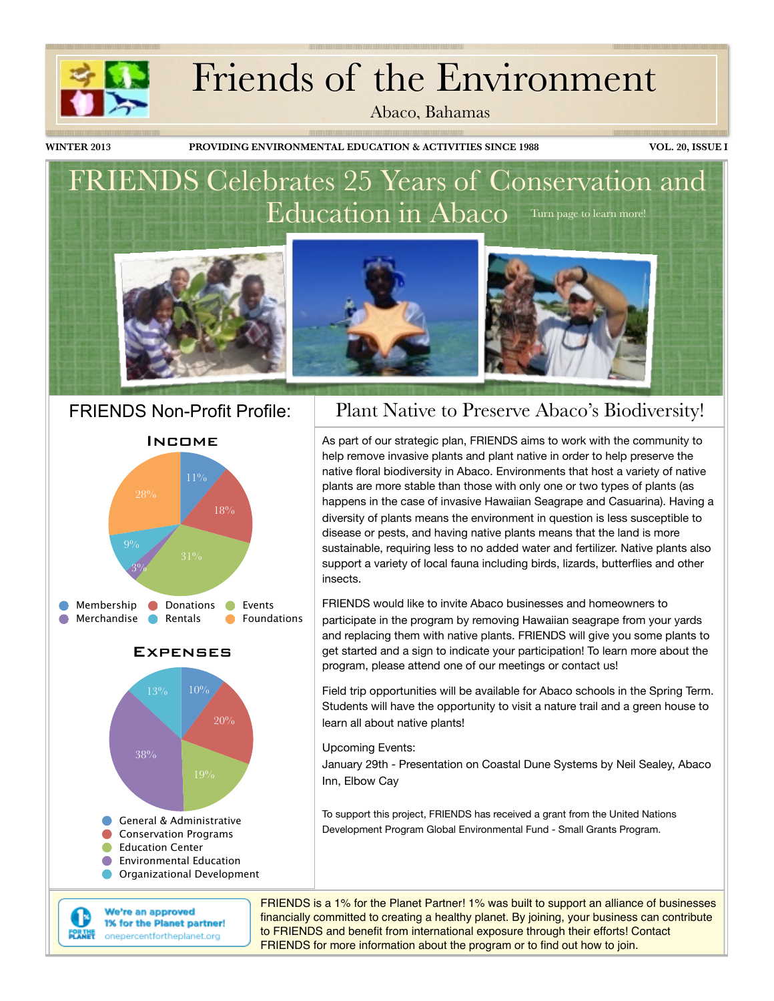# Friends of the Environment

Abaco, Bahamas

**WINTER 2013 PROVIDING ENVIRONMENTAL EDUCATION & ACTIVITIES SINCE 1988 VOL. 20, ISSUE I**

<u> 1989 - Jan Barnett, fransk politik (f. 1989)</u>

### FRIENDS Celebrates 25 Years of Conservation and Education in Abaco Turn page to learn more!



Income







We're an approved 1% for the Planet partner! renne onepercentfortheplanet.org

I۴

### FRIENDS Non-Profit Profile: | Plant Native to Preserve Abaco's Biodiversity!

As part of our strategic plan, FRIENDS aims to work with the community to help remove invasive plants and plant native in order to help preserve the native floral biodiversity in Abaco. Environments that host a variety of native plants are more stable than those with only one or two types of plants (as happens in the case of invasive Hawaiian Seagrape and Casuarina). Having a diversity of plants means the environment in question is less susceptible to disease or pests, and having native plants means that the land is more sustainable, requiring less to no added water and fertilizer. Native plants also support a variety of local fauna including birds, lizards, butterflies and other insects.

FRIENDS would like to invite Abaco businesses and homeowners to participate in the program by removing Hawaiian seagrape from your yards and replacing them with native plants. FRIENDS will give you some plants to get started and a sign to indicate your participation! To learn more about the program, please attend one of our meetings or contact us!

Field trip opportunities will be available for Abaco schools in the Spring Term. Students will have the opportunity to visit a nature trail and a green house to learn all about native plants!

Upcoming Events:

January 29th - Presentation on Coastal Dune Systems by Neil Sealey, Abaco Inn, Elbow Cay

To support this project, FRIENDS has received a grant from the United Nations Development Program Global Environmental Fund - Small Grants Program.

FRIENDS is a 1% for the Planet Partner! 1% was built to support an alliance of businesses financially committed to creating a healthy planet. By joining, your business can contribute to FRIENDS and benefit from international exposure through their efforts! Contact FRIENDS for more information about the program or to find out how to join.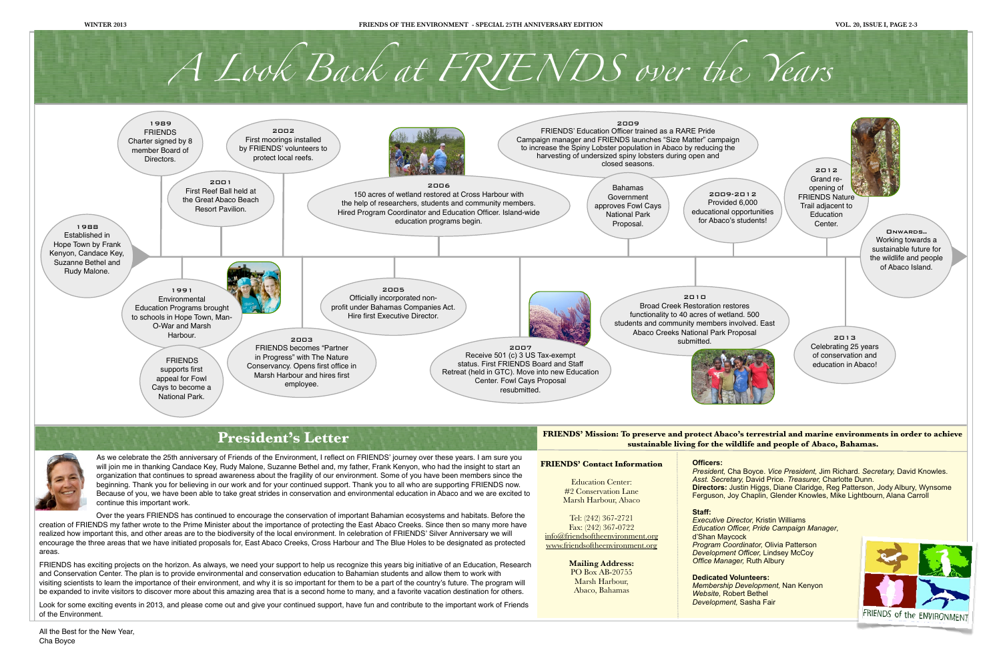Look for some exciting events in 2013, and please come out and give your continued support, have fun and contribute to the important work of Friends of the Environment.





*Development,* Sasha Fair